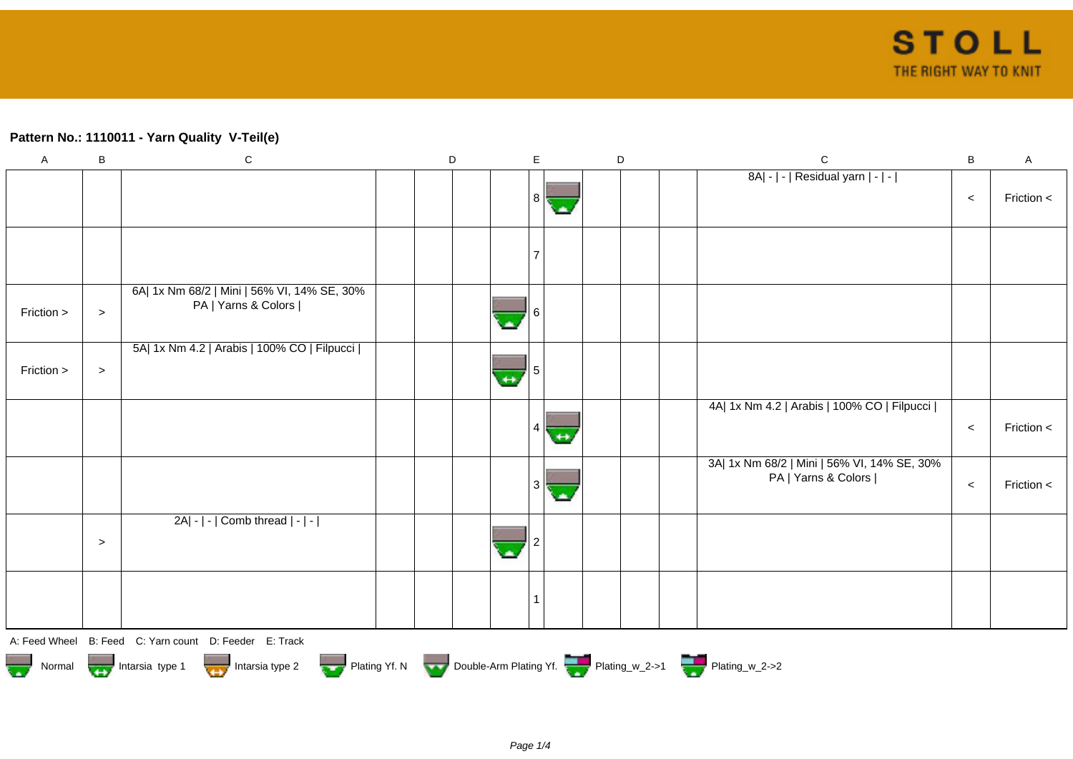## **Pattern No.: 1110011 - Yarn Quality V-Teil(e)**

| $\mathsf A$            | B      | ${\bf C}$                                                          | D |                | E  |                   | D |  |  | $\mathbf C$                                                        |       | A          |
|------------------------|--------|--------------------------------------------------------------------|---|----------------|----|-------------------|---|--|--|--------------------------------------------------------------------|-------|------------|
|                        |        |                                                                    |   |                | 8  | ۱A                |   |  |  | 8A  -   -   Residual yarn   -   -                                  | $\,<$ | Friction < |
|                        |        |                                                                    |   |                |    |                   |   |  |  |                                                                    |       |            |
| Friction >             | $\, >$ | 6A  1x Nm 68/2   Mini   56% VI, 14% SE, 30%<br>PA   Yarns & Colors |   | $\mathbf{z}$   |    |                   |   |  |  |                                                                    |       |            |
| Friction >             | $\geq$ | 5A  1x Nm 4.2   Arabis   100% CO   Filpucci                        |   | $\overline{ }$ |    |                   |   |  |  |                                                                    |       |            |
|                        |        |                                                                    |   |                | 4  | $\leftrightarrow$ |   |  |  | 4A  1x Nm 4.2   Arabis   100% CO   Filpucci                        | $\,<$ | Friction < |
|                        |        |                                                                    |   |                | 3  | ä.                |   |  |  | 3A  1x Nm 68/2   Mini   56% VI, 14% SE, 30%<br>PA   Yarns & Colors | $\,<$ | Friction < |
|                        | $\geq$ | 2A  -   -   Comb thread   -   -                                    |   |                |    |                   |   |  |  |                                                                    |       |            |
|                        |        |                                                                    |   |                | -1 |                   |   |  |  |                                                                    |       |            |
|                        |        | A: Feed Wheel B: Feed C: Yarn count D: Feeder E: Track             |   |                |    |                   |   |  |  |                                                                    |       |            |
| Normal Intarsia type 1 |        | Intarsia type 2                                                    |   |                |    |                   |   |  |  | Plating Yf. N Double-Arm Plating Yf. Plating W_2->1 Plating W_2->2 |       |            |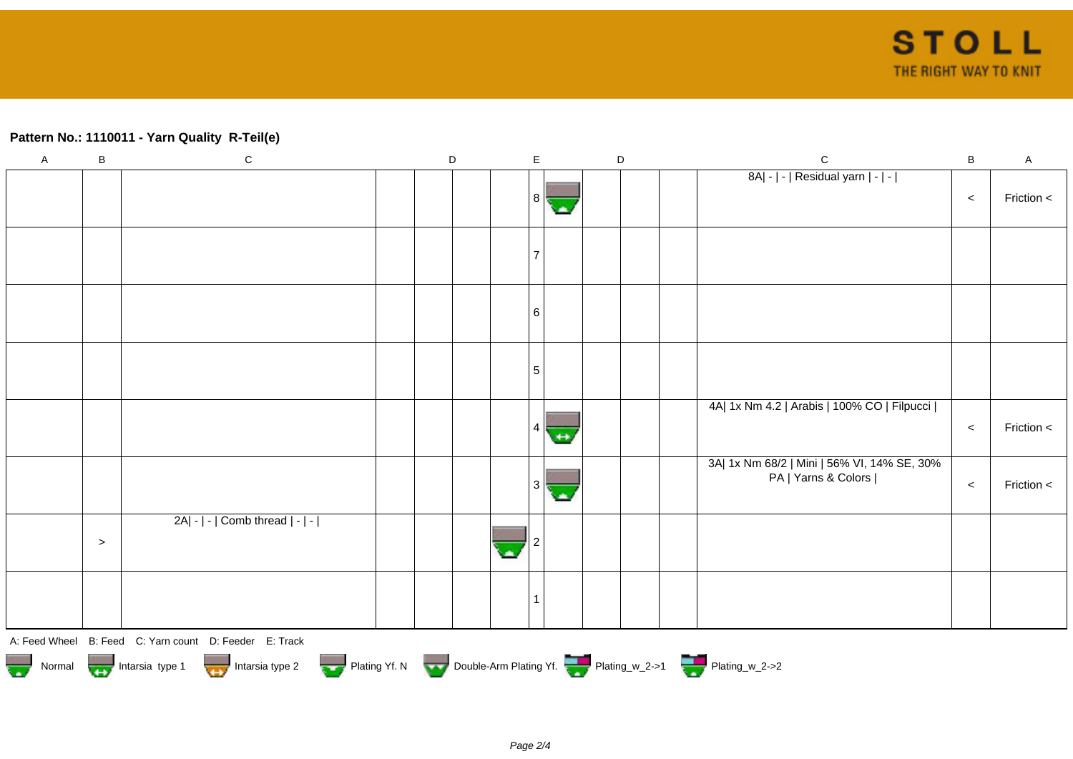## **Pattern No.: 1110011 - Yarn Quality R-Teil(e)**

| $\mathsf A$ | $\sf B$   | ${\bf C}$                                              | $\mathsf D$ |  | $\mathsf E$ |     | D | $\mathsf C$                                                        | $\sf B$ | $\mathsf{A}$ |
|-------------|-----------|--------------------------------------------------------|-------------|--|-------------|-----|---|--------------------------------------------------------------------|---------|--------------|
|             |           |                                                        |             |  | । $8 \le$   | С.  |   | 8A  -   -   Residual yarn   -   -                                  | $\,<$   | Friction <   |
|             |           |                                                        |             |  |             |     |   |                                                                    |         |              |
|             |           |                                                        |             |  | 6           |     |   |                                                                    |         |              |
|             |           |                                                        |             |  | -5          |     |   |                                                                    |         |              |
|             |           |                                                        |             |  |             | $+$ |   | 4A  1x Nm 4.2   Arabis   100% CO   Filpucci                        | $\,<$   | Friction <   |
|             |           |                                                        |             |  | 3           | ٠   |   | 3A  1x Nm 68/2   Mini   56% VI, 14% SE, 30%<br>PA   Yarns & Colors | $\prec$ | Friction <   |
|             | $\, > \,$ | $2A - $ - $ $ Comb thread $ - $ - $ $                  |             |  |             |     |   |                                                                    |         |              |
|             |           |                                                        |             |  |             |     |   |                                                                    |         |              |
|             |           | A: Feed Wheel B: Feed C: Yarn count D: Feeder E: Track |             |  |             |     |   |                                                                    |         |              |
|             |           | Normal Intarsia type 1 Intarsia type 2                 |             |  |             |     |   | Plating Yf. N Double-Arm Plating Yf. Plating_w_2->1 Plating_w_2->2 |         |              |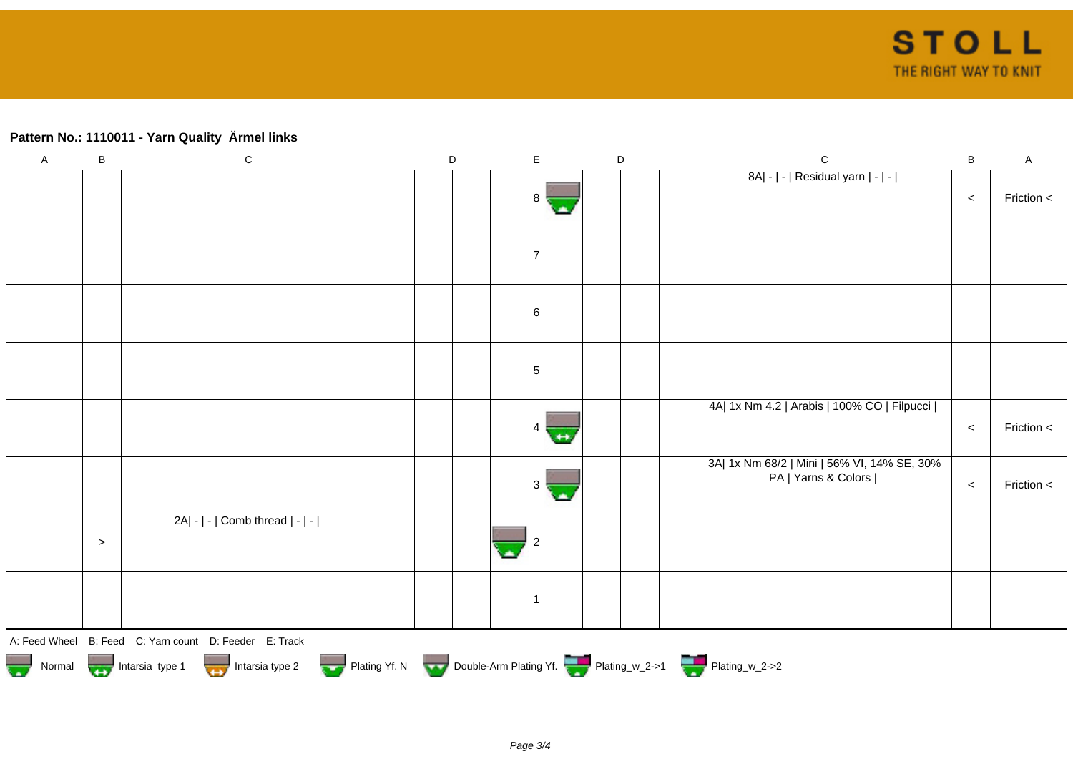## **Pattern No.: 1110011 - Yarn Quality Ärmel links**

| $\mathsf{A}$ | $\sf B$   | ${\bf C}$                                              | $\mathsf D$ |  | $\mathsf E$ |     | $\mathsf D$ | $\mathsf C$                                                        | $\sf B$ | $\mathsf A$ |
|--------------|-----------|--------------------------------------------------------|-------------|--|-------------|-----|-------------|--------------------------------------------------------------------|---------|-------------|
|              |           |                                                        |             |  | । $8 \le$   | с.  |             | 8A  -   -   Residual yarn   -   -                                  | $\,<$   | Friction <  |
|              |           |                                                        |             |  |             |     |             |                                                                    |         |             |
|              |           |                                                        |             |  | 6           |     |             |                                                                    |         |             |
|              |           |                                                        |             |  | 5           |     |             |                                                                    |         |             |
|              |           |                                                        |             |  |             | $+$ |             | 4A  1x Nm 4.2   Arabis   100% CO   Filpucci                        | $\,<$   | Friction <  |
|              |           |                                                        |             |  | 3           | ok. |             | 3A  1x Nm 68/2   Mini   56% VI, 14% SE, 30%<br>PA   Yarns & Colors | $\,<$   | Friction <  |
|              | $\, > \,$ | $2A - - $ Comb thread $ - - $                          |             |  |             |     |             |                                                                    |         |             |
|              |           |                                                        |             |  |             |     |             |                                                                    |         |             |
|              |           | A: Feed Wheel B: Feed C: Yarn count D: Feeder E: Track |             |  |             |     |             |                                                                    |         |             |
|              |           | Normal Intarsia type 1 Intarsia type 2                 |             |  |             |     |             | Plating Yf. N Double-Arm Plating Yf. Plating_w_2->1 Plating_w_2->2 |         |             |